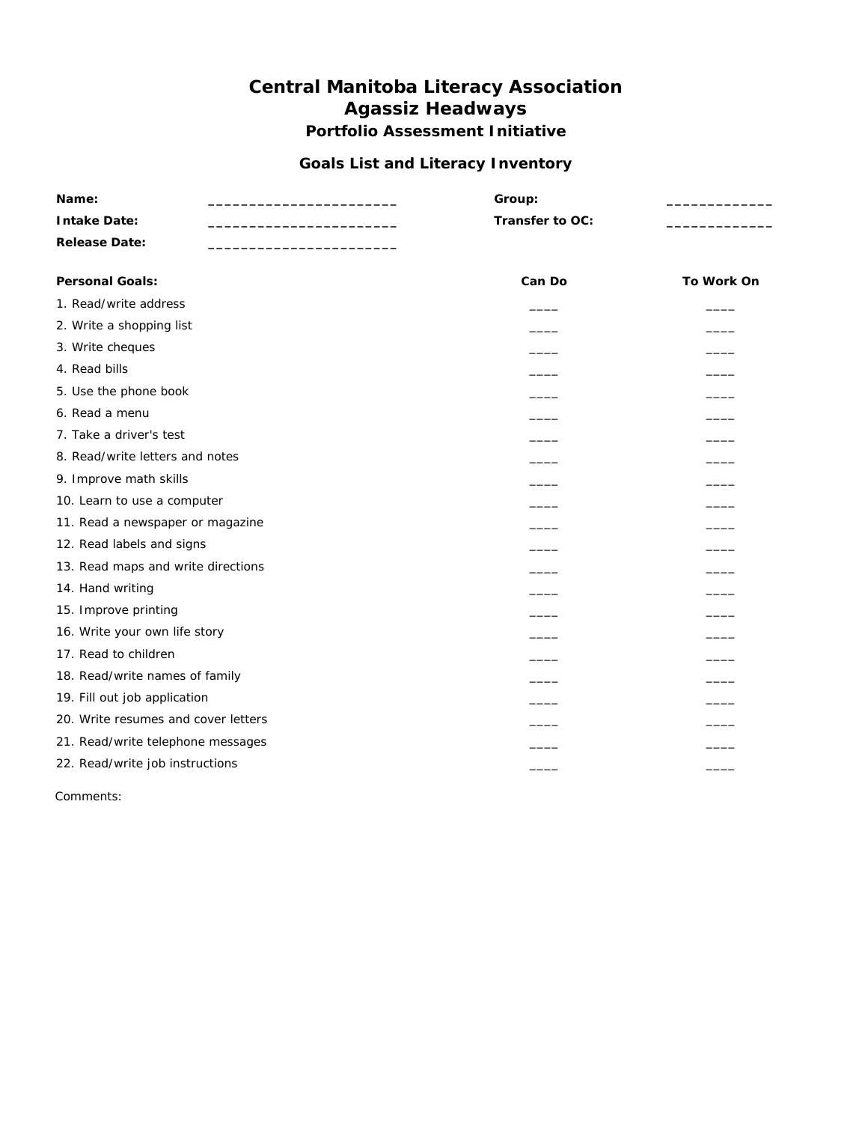#### **Goals List and Literacy Inventory**

| Name:                               | Group:                   |               |  |
|-------------------------------------|--------------------------|---------------|--|
| <b>Intake Date:</b>                 | Transfer to OC:          |               |  |
| <b>Release Date:</b>                |                          |               |  |
| <b>Personal Goals:</b>              | Can Do                   | To Work On    |  |
| 1. Read/write address               |                          |               |  |
| 2. Write a shopping list            |                          |               |  |
| 3. Write cheques                    |                          |               |  |
| 4. Read bills                       |                          |               |  |
| 5. Use the phone book               | $\overline{\phantom{a}}$ |               |  |
| 6. Read a menu                      |                          |               |  |
| 7. Take a driver's test             | $\overline{\phantom{a}}$ | $\frac{1}{1}$ |  |
| 8. Read/write letters and notes     | $\frac{1}{1}$            | $\frac{1}{1}$ |  |
| 9. Improve math skills              | $\frac{1}{1}$            |               |  |
| 10. Learn to use a computer         |                          |               |  |
| 11. Read a newspaper or magazine    | $\overline{\phantom{0}}$ |               |  |
| 12. Read labels and signs           | $\overline{\phantom{a}}$ |               |  |
| 13. Read maps and write directions  |                          |               |  |
| 14. Hand writing                    | —                        |               |  |
| 15. Improve printing                |                          |               |  |
| 16. Write your own life story       |                          |               |  |
| 17. Read to children                | $\overline{\phantom{a}}$ |               |  |
| 18. Read/write names of family      | $\overline{\phantom{a}}$ | $\frac{1}{2}$ |  |
| 19. Fill out job application        | $\overline{\phantom{a}}$ |               |  |
| 20. Write resumes and cover letters |                          |               |  |
| 21. Read/write telephone messages   |                          |               |  |
| 22. Read/write job instructions     |                          |               |  |

Comments: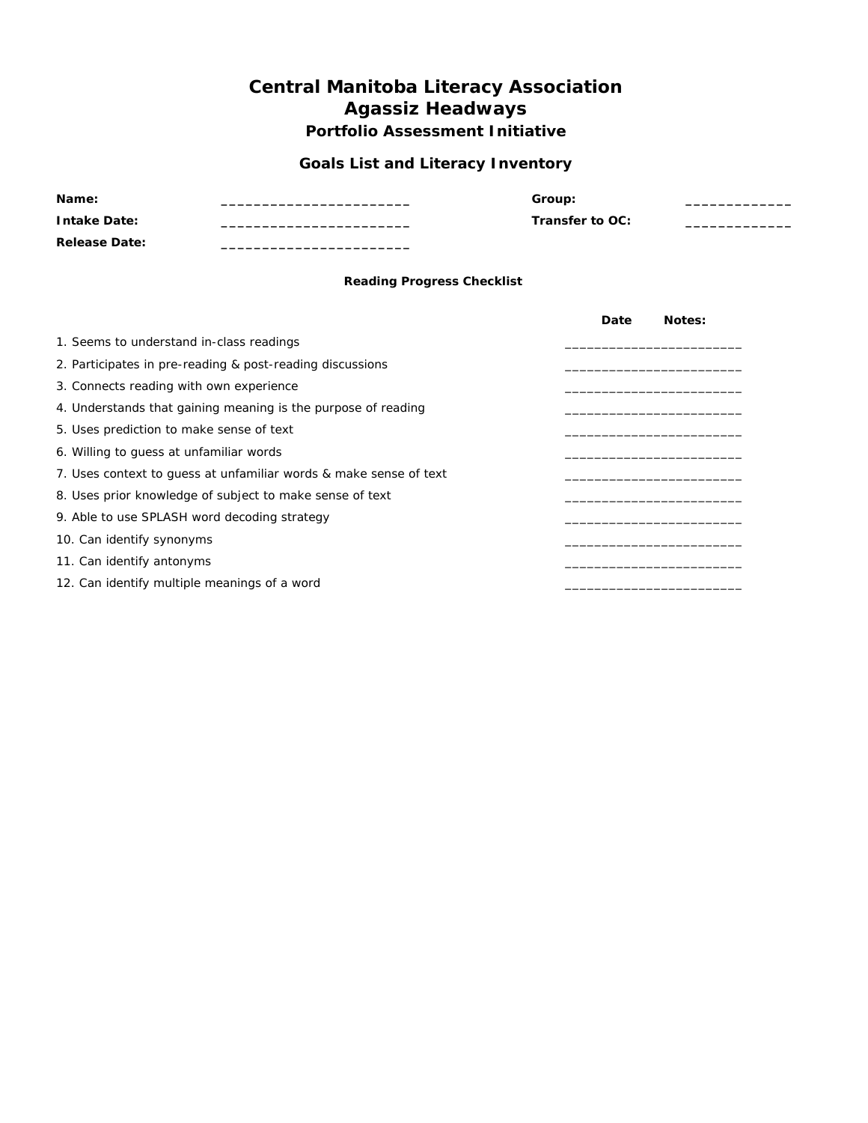#### **Goals List and Literacy Inventory**

| Name:                | Group:          |  |
|----------------------|-----------------|--|
| <b>Intake Date:</b>  | Transfer to OC: |  |
| <b>Release Date:</b> |                 |  |

#### **Reading Progress Checklist**

|                                                                   | Date | Notes: |
|-------------------------------------------------------------------|------|--------|
| 1. Seems to understand in-class readings                          |      |        |
| 2. Participates in pre-reading & post-reading discussions         |      |        |
| 3. Connects reading with own experience                           |      |        |
| 4. Understands that gaining meaning is the purpose of reading     |      |        |
| 5. Uses prediction to make sense of text                          |      |        |
| 6. Willing to quess at unfamiliar words                           |      |        |
| 7. Uses context to quess at unfamiliar words & make sense of text |      |        |
| 8. Uses prior knowledge of subject to make sense of text          |      |        |
| 9. Able to use SPLASH word decoding strategy                      |      |        |
| 10. Can identify synonyms                                         |      |        |
| 11. Can identify antonyms                                         |      |        |
| 12. Can identify multiple meanings of a word                      |      |        |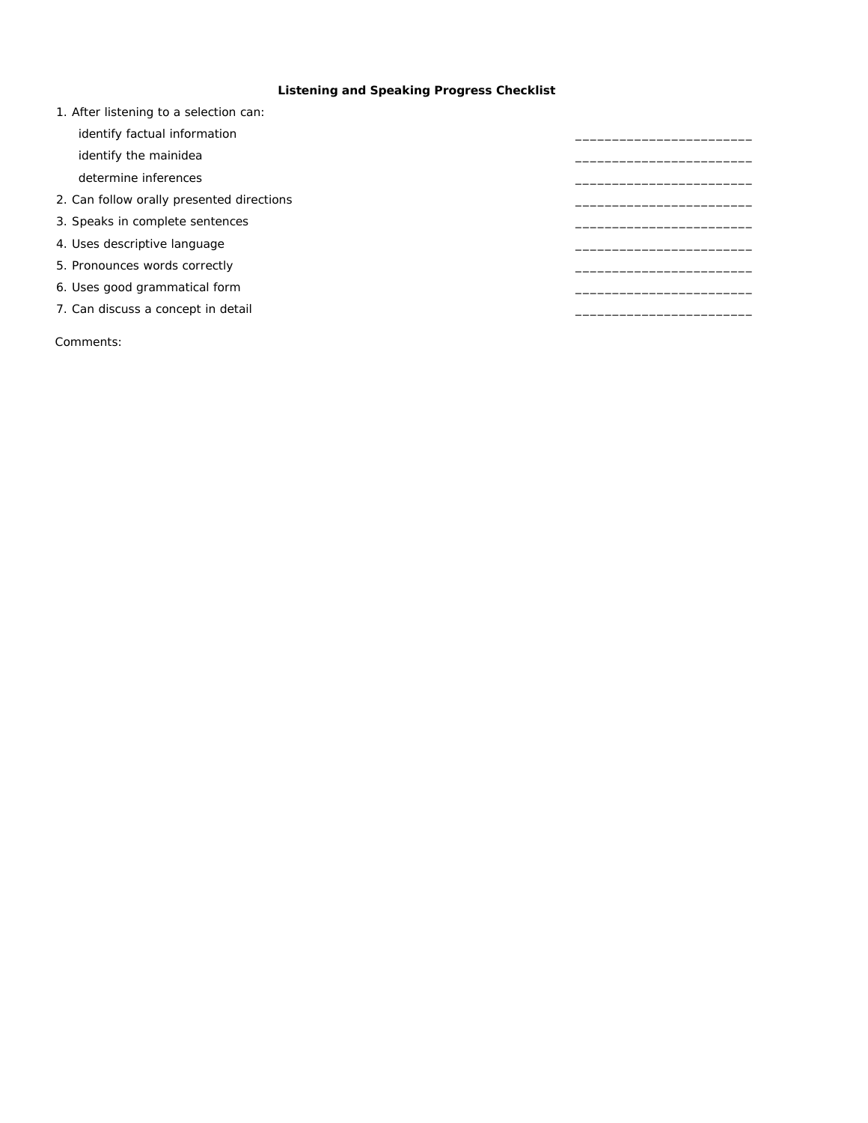#### **Listening and Speaking Progress Checklist**

| 1. After listening to a selection can:    |  |
|-------------------------------------------|--|
| identify factual information              |  |
| identify the mainidea                     |  |
| determine inferences                      |  |
| 2. Can follow orally presented directions |  |
| 3. Speaks in complete sentences           |  |
| 4. Uses descriptive language              |  |
| 5. Pronounces words correctly             |  |
| 6. Uses good grammatical form             |  |
| 7. Can discuss a concept in detail        |  |
|                                           |  |

Comments: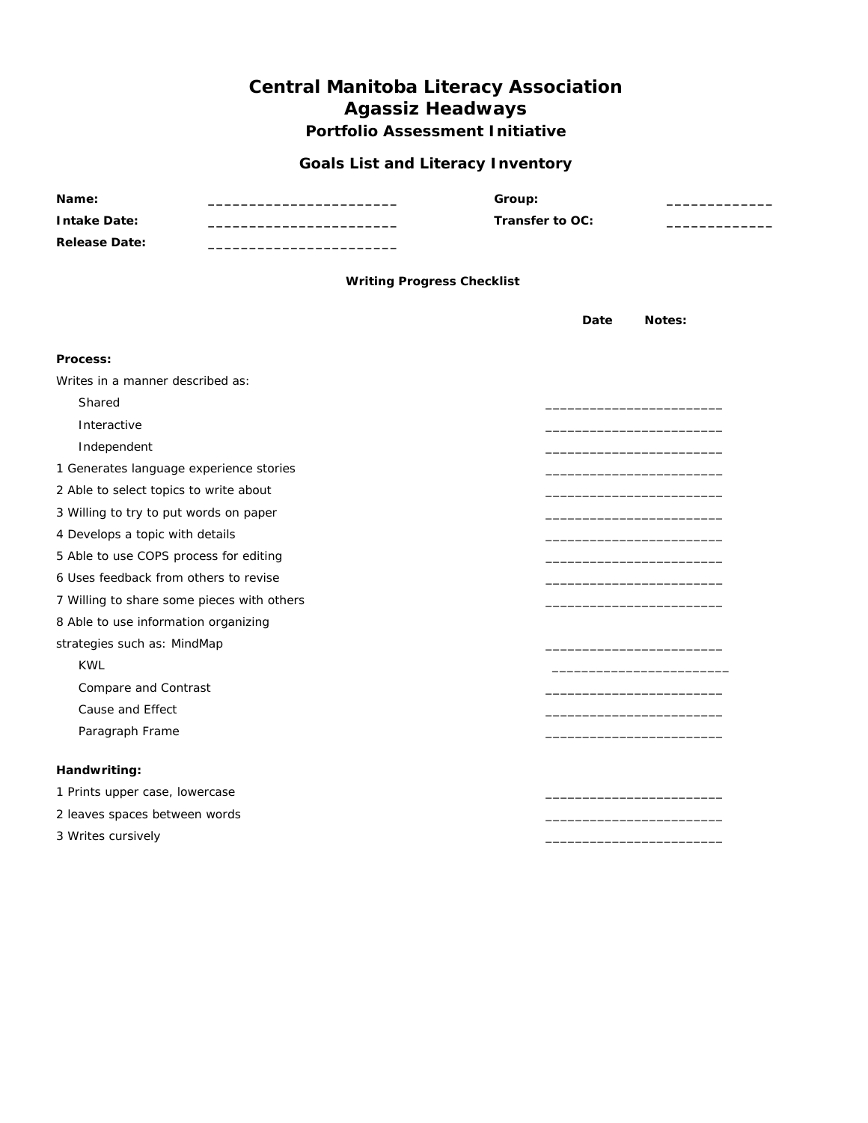#### **Goals List and Literacy Inventory**

| Name:<br><b>Intake Date:</b>               | Group:<br>Transfer to OC:         |      |        |
|--------------------------------------------|-----------------------------------|------|--------|
| <b>Release Date:</b>                       |                                   |      |        |
|                                            | <b>Writing Progress Checklist</b> |      |        |
|                                            |                                   | Date | Notes: |
| Process:                                   |                                   |      |        |
| Writes in a manner described as:           |                                   |      |        |
| Shared                                     |                                   |      |        |
| Interactive                                |                                   |      |        |
| Independent                                |                                   |      |        |
| 1 Generates language experience stories    |                                   |      |        |
| 2 Able to select topics to write about     |                                   |      |        |
| 3 Willing to try to put words on paper     |                                   |      |        |
| 4 Develops a topic with details            |                                   |      |        |
| 5 Able to use COPS process for editing     |                                   |      |        |
| 6 Uses feedback from others to revise      |                                   |      |        |
| 7 Willing to share some pieces with others |                                   |      |        |
| 8 Able to use information organizing       |                                   |      |        |
| strategies such as: MindMap                |                                   |      |        |
| <b>KWL</b>                                 |                                   |      |        |
| Compare and Contrast                       |                                   |      |        |
| Cause and Effect                           |                                   |      |        |
| Paragraph Frame                            |                                   |      |        |
|                                            |                                   |      |        |
| Handwriting:                               |                                   |      |        |
| 1 Prints upper case, lowercase             |                                   |      |        |
| 2 leaves spaces between words              |                                   |      |        |
| 3 Writes cursively                         |                                   |      |        |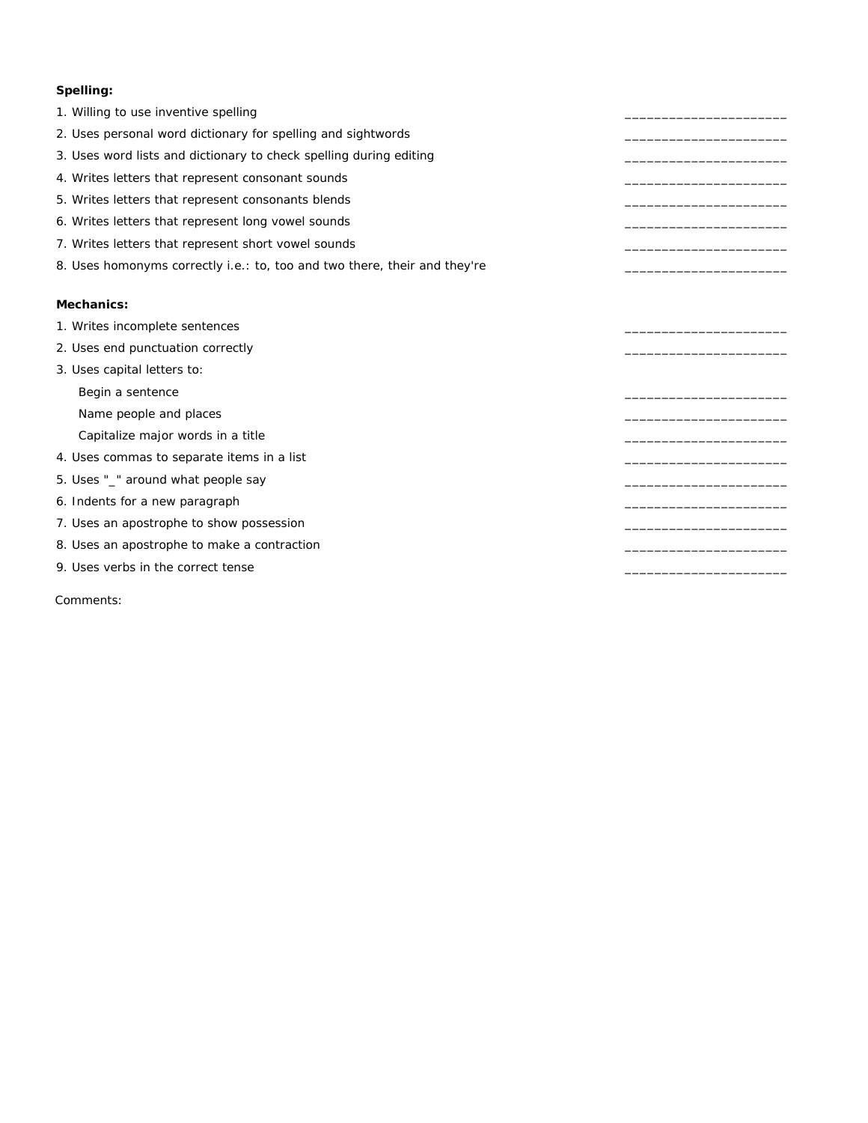#### **Spelling:**

- 1. Willing to use inventive spelling
- 2. Uses personal word dictionary for spelling and sightwords
- 3. Uses word lists and dictionary to check spelling during editing
- 4. Writes letters that represent consonant sounds
- 5. Writes letters that represent consonants blends
- 6. Writes letters that represent long vowel sounds
- 7. Writes letters that represent short vowel sounds
- 8. Uses homonyms correctly i.e.: to, too and two there, their and they're

#### **Mechanics:**

- 1. Writes incomplete sentences
- 2. Uses end punctuation correctly
- 3. Uses capital letters to:
	- Begin a sentence

Name people and places

- Capitalize major words in a title
- 4. Uses commas to separate items in a list
- 5. Uses "\_" around what people say
- 6. Indents for a new paragraph
- 7. Uses an apostrophe to show possession
- 8. Uses an apostrophe to make a contraction
- 9. Uses verbs in the correct tense

Comments: